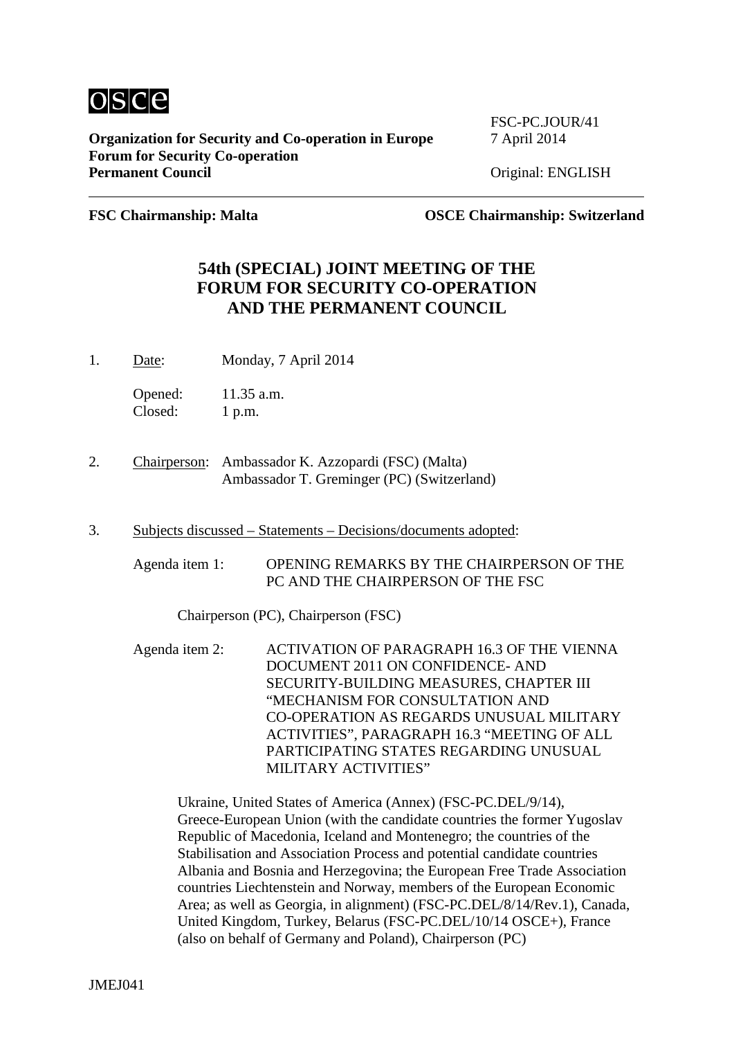

**Organization for Security and Co-operation in Europe** 7 April 2014 **Forum for Security Co-operation**

FSC-PC.JOUR/41

**Permanent Concillent Concillent** 

**FSC Chairmanship: Malta OSCE Chairmanship: Switzerland**

### **54th (SPECIAL) JOINT MEETING OF THE FORUM FOR SECURITY CO-OPERATION AND THE PERMANENT COUNCIL**

1. Date: Monday, 7 April 2014

Opened: 11.35 a.m. Closed: 1 p.m.

- 2. Chairperson: Ambassador K. Azzopardi (FSC) (Malta) Ambassador T. Greminger (PC) (Switzerland)
- 3. Subjects discussed Statements Decisions/documents adopted:
	- Agenda item 1: OPENING REMARKS BY THE CHAIRPERSON OF THE PC AND THE CHAIRPERSON OF THE FSC

Chairperson (PC), Chairperson (FSC)

Agenda item 2: ACTIVATION OF PARAGRAPH 16.3 OF THE VIENNA DOCUMENT 2011 ON CONFIDENCE- AND SECURITY-BUILDING MEASURES, CHAPTER III "MECHANISM FOR CONSULTATION AND CO-OPERATION AS REGARDS UNUSUAL MILITARY ACTIVITIES", PARAGRAPH 16.3 "MEETING OF ALL PARTICIPATING STATES REGARDING UNUSUAL MILITARY ACTIVITIES"

Ukraine, United States of America (Annex) (FSC-PC.DEL/9/14), Greece-European Union (with the candidate countries the former Yugoslav Republic of Macedonia, Iceland and Montenegro; the countries of the Stabilisation and Association Process and potential candidate countries Albania and Bosnia and Herzegovina; the European Free Trade Association countries Liechtenstein and Norway, members of the European Economic Area; as well as Georgia, in alignment) (FSC-PC.DEL/8/14/Rev.1), Canada, United Kingdom, Turkey, Belarus (FSC-PC.DEL/10/14 OSCE+), France (also on behalf of Germany and Poland), Chairperson (PC)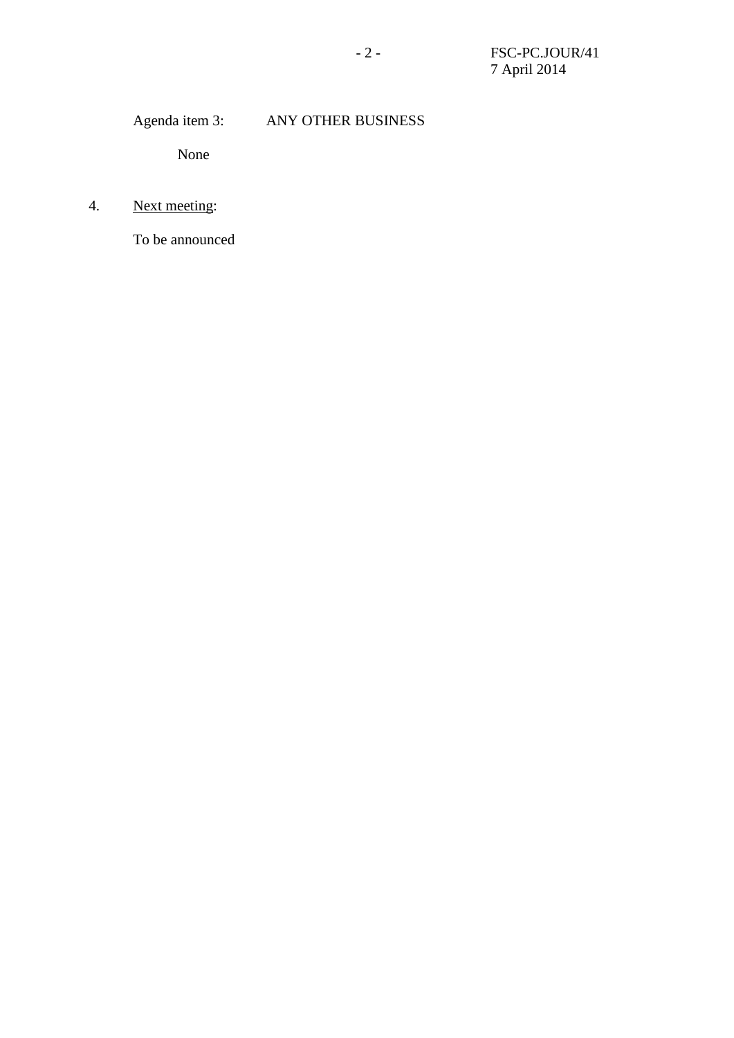# Agenda item 3: ANY OTHER BUSINESS

None

# 4. Next meeting:

To be announced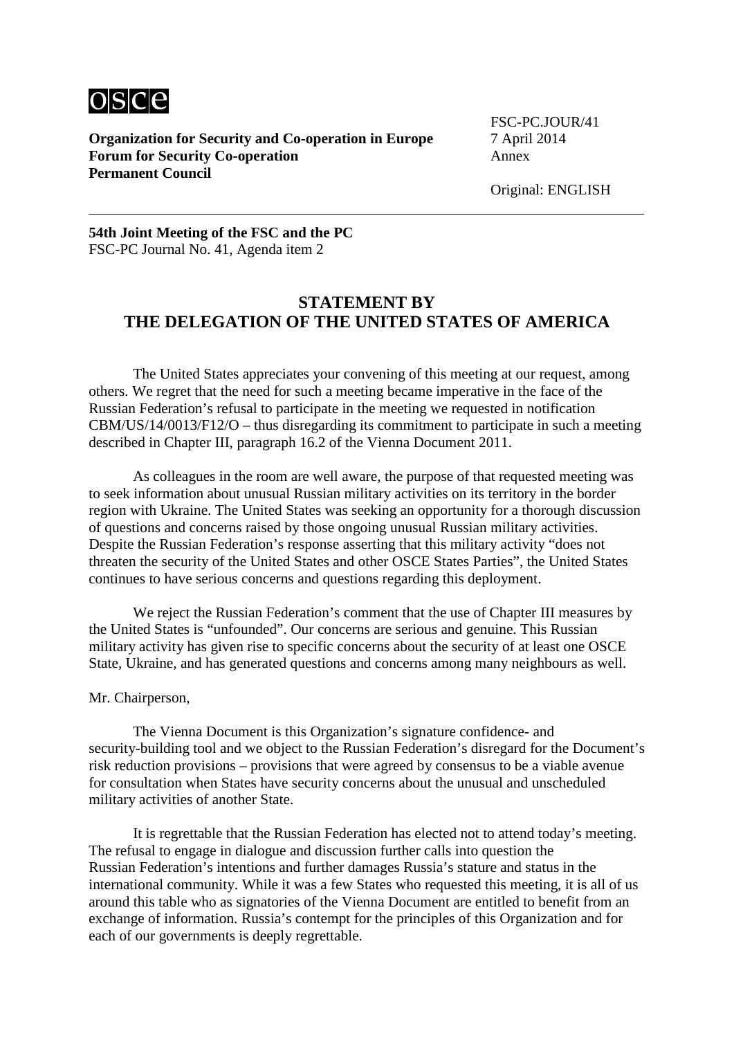

**Organization for Security and Co-operation in Europe** 7 April 2014 **Forum for Security Co-operation** Annex **Permanent Council**

FSC-PC.JOUR/41

Original: ENGLISH

#### **54th Joint Meeting of the FSC and the PC** FSC-PC Journal No. 41, Agenda item 2

### **STATEMENT BY THE DELEGATION OF THE UNITED STATES OF AMERICA**

The United States appreciates your convening of this meeting at our request, among others. We regret that the need for such a meeting became imperative in the face of the Russian Federation's refusal to participate in the meeting we requested in notification CBM/US/14/0013/F12/O – thus disregarding its commitment to participate in such a meeting described in Chapter III, paragraph 16.2 of the Vienna Document 2011.

As colleagues in the room are well aware, the purpose of that requested meeting was to seek information about unusual Russian military activities on its territory in the border region with Ukraine. The United States was seeking an opportunity for a thorough discussion of questions and concerns raised by those ongoing unusual Russian military activities. Despite the Russian Federation's response asserting that this military activity "does not threaten the security of the United States and other OSCE States Parties", the United States continues to have serious concerns and questions regarding this deployment.

We reject the Russian Federation's comment that the use of Chapter III measures by the United States is "unfounded". Our concerns are serious and genuine. This Russian military activity has given rise to specific concerns about the security of at least one OSCE State, Ukraine, and has generated questions and concerns among many neighbours as well.

#### Mr. Chairperson,

The Vienna Document is this Organization's signature confidence- and security-building tool and we object to the Russian Federation's disregard for the Document's risk reduction provisions – provisions that were agreed by consensus to be a viable avenue for consultation when States have security concerns about the unusual and unscheduled military activities of another State.

It is regrettable that the Russian Federation has elected not to attend today's meeting. The refusal to engage in dialogue and discussion further calls into question the Russian Federation's intentions and further damages Russia's stature and status in the international community. While it was a few States who requested this meeting, it is all of us around this table who as signatories of the Vienna Document are entitled to benefit from an exchange of information. Russia's contempt for the principles of this Organization and for each of our governments is deeply regrettable.